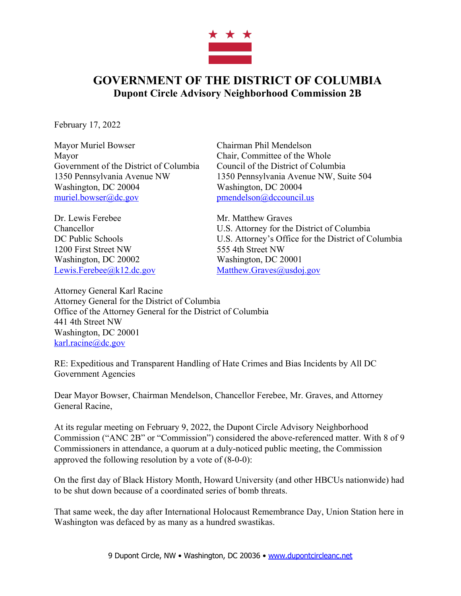

## **GOVERNMENT OF THE DISTRICT OF COLUMBIA Dupont Circle Advisory Neighborhood Commission 2B**

February 17, 2022

Mayor Muriel Bowser Chairman Phil Mendelson Mayor Chair, Committee of the Whole Government of the District of Columbia Council of the District of Columbia Washington, DC 20004 Washington, DC 20004 muriel.bowser@dc.gov pmendelson@dccouncil.us

Dr. Lewis Ferebee Mr. Matthew Graves 1200 First Street NW 555 4th Street NW Washington, DC 20002 Washington, DC 20001 Lewis.Ferebee@k12.dc.gov Matthew.Graves@usdoj.gov

1350 Pennsylvania Avenue NW 1350 Pennsylvania Avenue NW, Suite 504

Chancellor U.S. Attorney for the District of Columbia DC Public Schools U.S. Attorney's Office for the District of Columbia

Attorney General Karl Racine Attorney General for the District of Columbia Office of the Attorney General for the District of Columbia 441 4th Street NW Washington, DC 20001 karl.racine@dc.gov

RE: Expeditious and Transparent Handling of Hate Crimes and Bias Incidents by All DC Government Agencies

Dear Mayor Bowser, Chairman Mendelson, Chancellor Ferebee, Mr. Graves, and Attorney General Racine,

At its regular meeting on February 9, 2022, the Dupont Circle Advisory Neighborhood Commission ("ANC 2B" or "Commission") considered the above-referenced matter. With 8 of 9 Commissioners in attendance, a quorum at a duly-noticed public meeting, the Commission approved the following resolution by a vote of (8-0-0):

On the first day of Black History Month, Howard University (and other HBCUs nationwide) had to be shut down because of a coordinated series of bomb threats.

That same week, the day after International Holocaust Remembrance Day, Union Station here in Washington was defaced by as many as a hundred swastikas.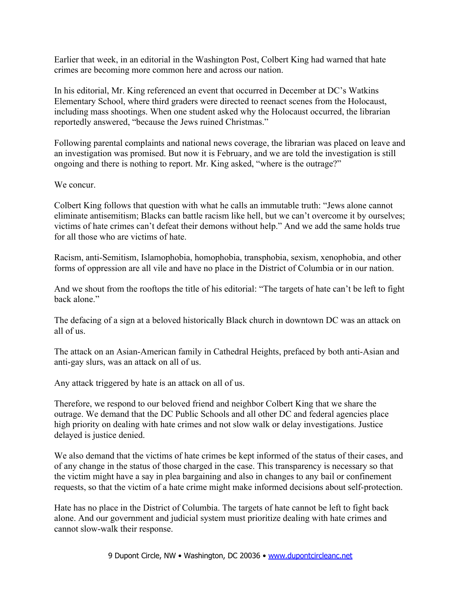Earlier that week, in an editorial in the Washington Post, Colbert King had warned that hate crimes are becoming more common here and across our nation.

In his editorial, Mr. King referenced an event that occurred in December at DC's Watkins Elementary School, where third graders were directed to reenact scenes from the Holocaust, including mass shootings. When one student asked why the Holocaust occurred, the librarian reportedly answered, "because the Jews ruined Christmas."

Following parental complaints and national news coverage, the librarian was placed on leave and an investigation was promised. But now it is February, and we are told the investigation is still ongoing and there is nothing to report. Mr. King asked, "where is the outrage?"

## We concur.

Colbert King follows that question with what he calls an immutable truth: "Jews alone cannot eliminate antisemitism; Blacks can battle racism like hell, but we can't overcome it by ourselves; victims of hate crimes can't defeat their demons without help." And we add the same holds true for all those who are victims of hate.

Racism, anti-Semitism, Islamophobia, homophobia, transphobia, sexism, xenophobia, and other forms of oppression are all vile and have no place in the District of Columbia or in our nation.

And we shout from the rooftops the title of his editorial: "The targets of hate can't be left to fight back alone."

The defacing of a sign at a beloved historically Black church in downtown DC was an attack on all of us.

The attack on an Asian-American family in Cathedral Heights, prefaced by both anti-Asian and anti-gay slurs, was an attack on all of us.

Any attack triggered by hate is an attack on all of us.

Therefore, we respond to our beloved friend and neighbor Colbert King that we share the outrage. We demand that the DC Public Schools and all other DC and federal agencies place high priority on dealing with hate crimes and not slow walk or delay investigations. Justice delayed is justice denied.

We also demand that the victims of hate crimes be kept informed of the status of their cases, and of any change in the status of those charged in the case. This transparency is necessary so that the victim might have a say in plea bargaining and also in changes to any bail or confinement requests, so that the victim of a hate crime might make informed decisions about self-protection.

Hate has no place in the District of Columbia. The targets of hate cannot be left to fight back alone. And our government and judicial system must prioritize dealing with hate crimes and cannot slow-walk their response.